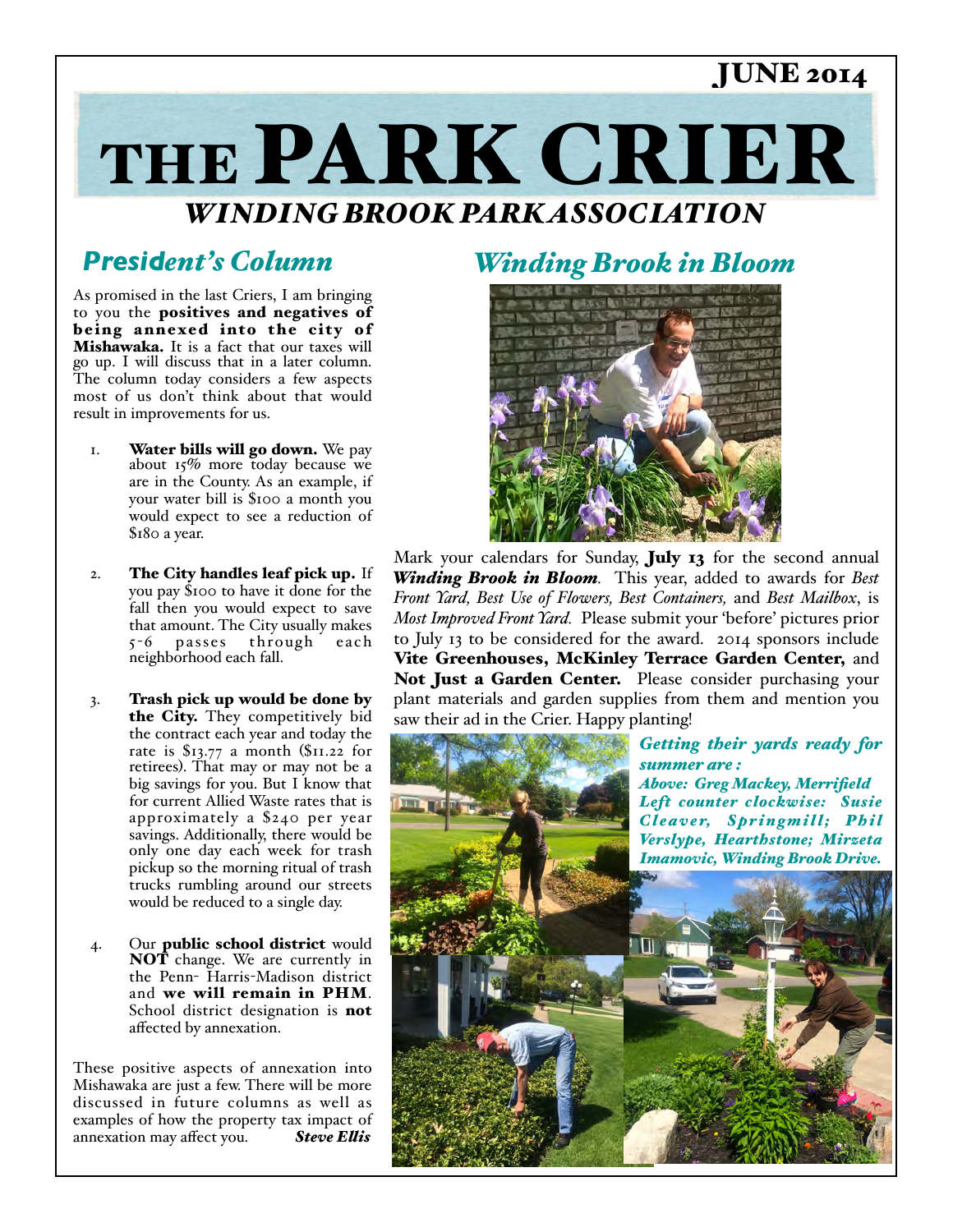# JUNE 2014

# THE PARK CRIER *WINDING BROOK PARK ASSOCIATION*

## *President's Column*

As promised in the last Criers, I am bringing to you the positives and negatives of being annexed into the city of Mishawaka. It is a fact that our taxes will go up. I will discuss that in a later column. The column today considers a few aspects most of us don't think about that would result in improvements for us.

- 1. Water bills will go down. We pay about 15% more today because we are in the County. As an example, if your water bill is \$100 a month you would expect to see a reduction of \$180 a year.
- 2. The City handles leaf pick up. If you pay \$100 to have it done for the fall then you would expect to save that amount. The City usually makes 5 -6 pa sses through each neighborhood each fall.
- 3. Trash pick up would be done by the City. They competitively bid the contract each year and today the rate is \$13.77 a month (\$11.22 for retirees). That may or may not be a big savings for you. But I know that for current Allied Waste rates that is approximately a \$240 per year savings. Additionally, there would be only one day each week for trash pickup so the morning ritual of trash trucks rumbling around our streets would be reduced to a single day.
- 4. Our public school district would NOT change. We are currently in the Penn- Harris-Madison district and we will remain in PHM. School district designation is not affected by annexation.

These positive aspects of annexation into Mishawaka are just a few. There will be more discussed in future columns as well as examples of how the property tax impact of annexation may affect you. *Steve Elis*

### *Winding Brook in Bloom*



Mark your calendars for Sunday, July 13 for the second annual *Winding Brook in Bloom.* This year, added to awards for *Best Front Yard, Best Use of Flowers, Best Containers,* and *Best Mailbox*, is *Most Improved Front Yard.* Please submit your 'before' pictures prior to July 13 to be considered for the award. 2014 sponsors include Vite Greenhouses, McKinley Terrace Garden Center, and Not Just a Garden Center. Please consider purchasing your plant materials and garden supplies from them and mention you saw their ad in the Crier. Happy planting!

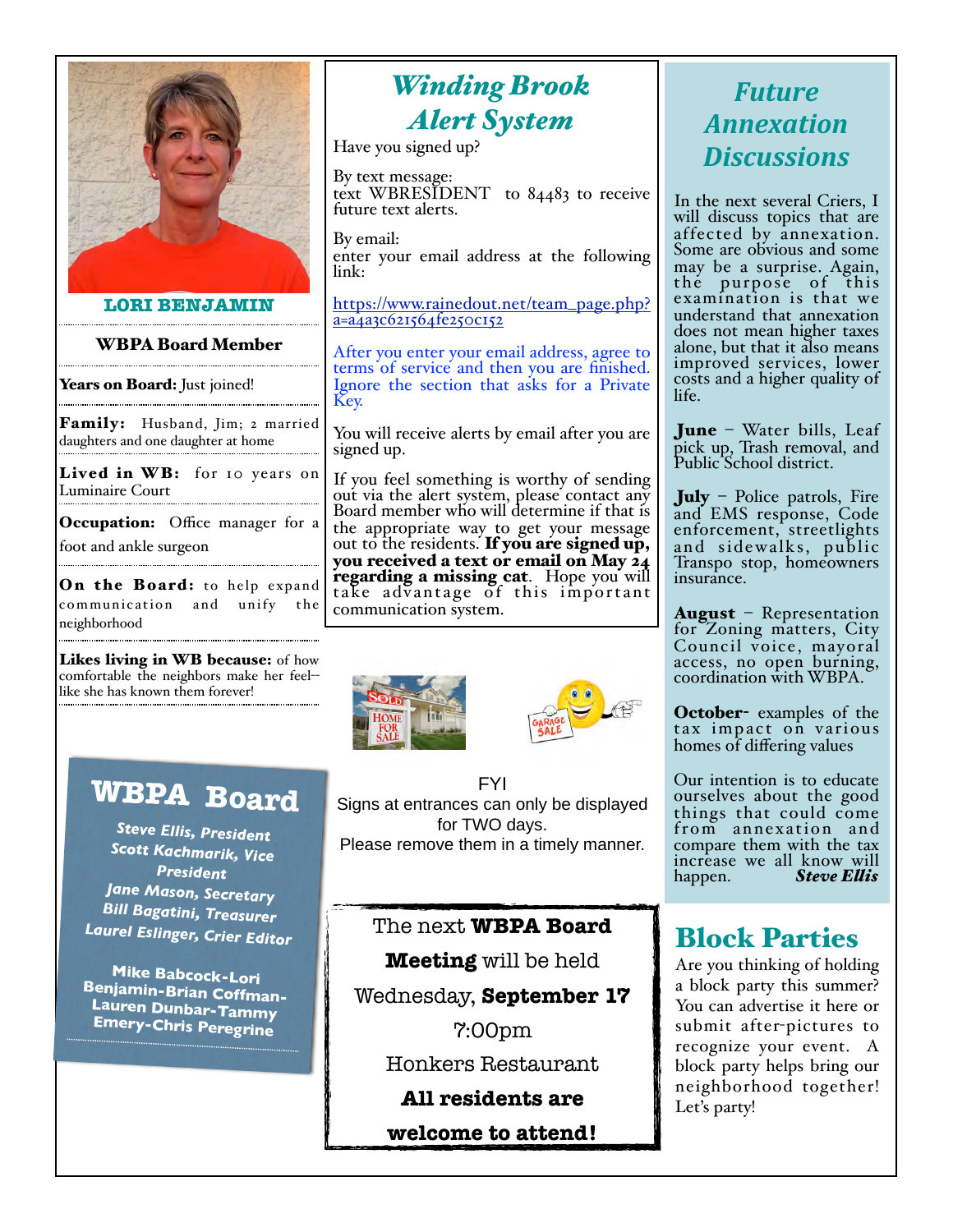

#### **LORI BENJAMIN**

#### WBPA Board Member

Years on Board: Just joined!

Family: Husband, Jim; 2 married daughters and one daughter at home

Lived in WB: for 10 years on Luminaire Court

Occupation: Office manager for a foot and ankle surgeon

On the Board: to help expand communication and unify the neighborhood

Likes living in WB because: of how comfortable the neighbors make her feel- like she has known them forever!

# **WBPA Board**

*Steve Ellis, President Scott Kachmarik, Vice President Jane Mason, Secretary Bill Bagatini, Treasurer Laurel Eslinger, Crier Editor*

**Mike Babcock-Lori Benjamin-Brian Coffman-Lauren Dunbar-Tammy Emery-Chris Peregrine**

# *Winding Brook Alert System*

Have you signed up?

By text message: text WBRESIDENT to 84483 to receive future text alerts.

By email: enter your email address at the following link:

[https://www.rainedout.net/team\\_page.php?](https://www.rainedout.net/team_page.php?a=a4a3c621564fe250c152)  $a = a<sub>4</sub>a<sub>3</sub>c621564fe250c152$ 

After you enter your email address, agree to terms of service and then you are finished. Ignore the section that asks for a Private Key.

You will receive alerts by email after you are signed up.

If you feel something is worthy of sending out via the alert system, please contact any Board member who will determine if that is the appropriate way to get your message out to the residents. If you are signed up, you received a text or email on May 24<br>regarding a missing cat. Hope you will take advantage of this important communication system.





FYI Signs at entrances can only be displayed for TWO days. Please remove them in a timely manner.

#### The next **WBPA Board**

**Meeting** will be held

Wednesday, **September 17**

7:00pm

Honkers Restaurant

#### **All residents are**

**welcome to attend!**

# *Future& Annexation& Discussions*

In the next several Criers, I will discuss topics that are affected by annexation. Some are obvious and some may be a surprise. Again, the purpose of this examination is that we understand that annexation does not mean higher taxes alone, but that it also means improved services, lower costs and a higher quality of life.

June – Water bills, Leaf pick up, Trash removal, and Public School district.

July – Police patrols, Fire and EMS response, Code enforcement, streetlights and sidewalks, public Transpo stop, homeowners insurance.

August – Representation for Zoning matters, City Council voice, mayoral access, no open burning, coordination with WBPA.

October- examples of the tax impact on various homes of differing values

Our intention is to educate ourselves about the good things that could come f rom annexation and compare them with the tax increase we all know will happen. *Steve Elis*

### Block Parties

Are you thinking of holding a block party this summer? You can advertise it here or submit after-pictures to recognize your event. A block party helps bring our neighborhood together! Let's party!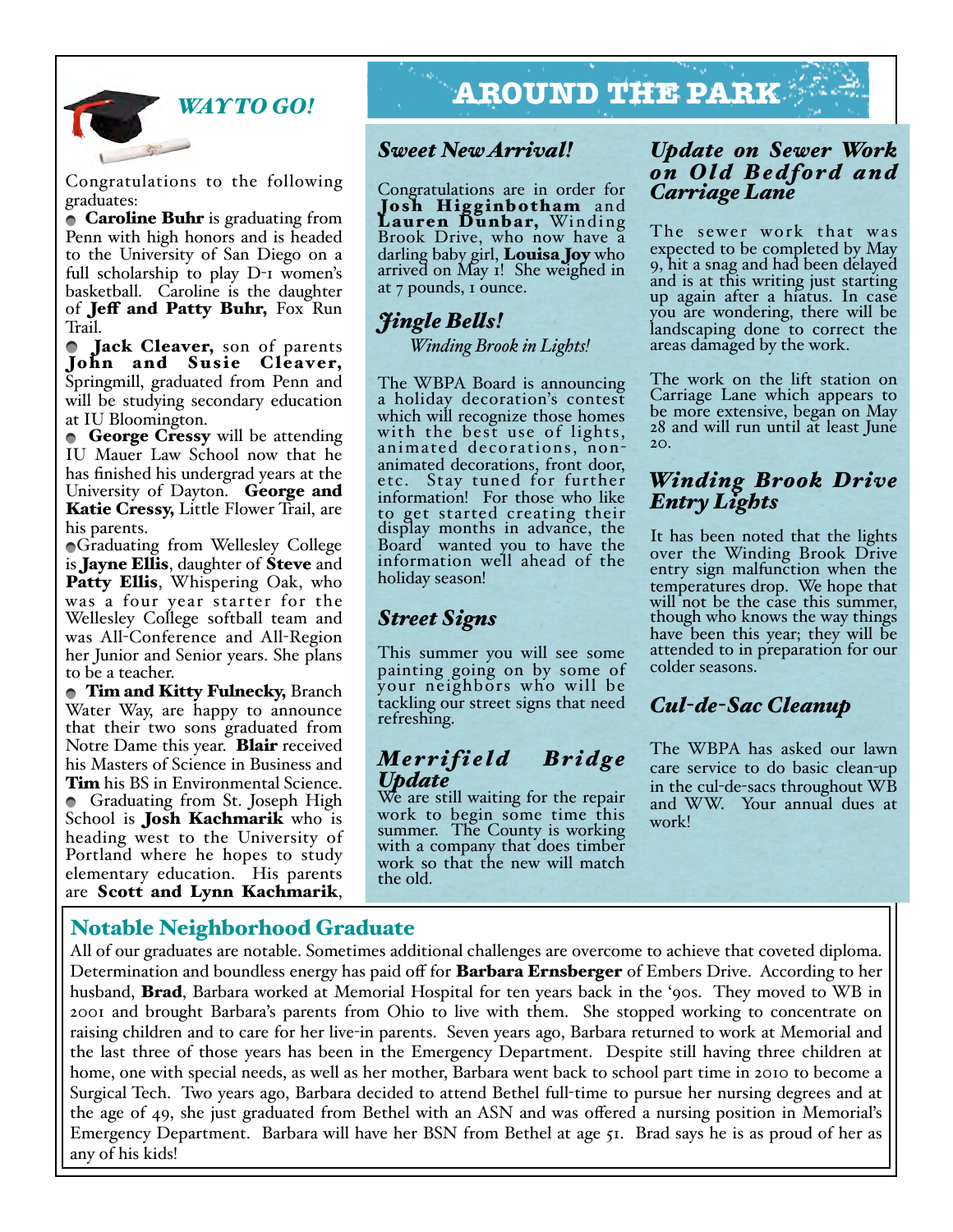

Congratulations to the following graduates:

• Caroline Buhr is graduating from Penn with high honors and is headed to the University of San Diego on a full scholarship to play D-1 women's basketball. Caroline is the daughter of **Jeff and Patty Buhr**, Fox Run Trail.

**Jack Cleaver, son of parents** John and Susie Cleaver, Springmill, graduated from Penn and will be studying secondary education at IU Bloomington.

**George Cressy** will be attending IU Mauer Law School now that he has finished his undergrad years at the University of Dayton. George and Katie Cressy, Little Flower Trail, are his parents.

Graduating from Wellesley College is Jayne Ellis, daughter of Steve and Patty Ellis, Whispering Oak, who was a four year starter for the Wellesley College softball team and was All-Conference and All-Region her Junior and Senior years. She plans to be a teacher.

**Tim and Kitty Fulnecky, Branch** Water Way, are happy to announce that their two sons graduated from Notre Dame this year. **Blair** received his Masters of Science in Business and Tim his BS in Environmental Science. Graduating from St. Joseph High School is **Josh Kachmarik** who is heading west to the University of Portland where he hopes to study elementary education. His parents are Scott and Lynn Kachmarik,

# *WAY TO GO!* **AROUND THE PARK**

#### *Sweet New Arrival!*

Congratulations are in order for Josh Higginbotham and Lauren Dunbar, Winding<br>Brook Drive, who now have a darling baby girl, **Louisa Joy** who arrived on May 1! She weighed in at 7 pounds, 1 ounce.

# *Jingle Bels!*

 *Winding Brook in Lights!*

The WBPA Board is announcing a holiday decoration's contest which will recognize those homes with the best use of lights, animated decorations, nonanimated decorations, front door, etc. Stay tuned for further information! For those who like to get started creating their display months in advance, the Board wanted you to have the information well ahead of the holiday season!

#### *Street Signs*

This summer you will see some painting going on by some of your neighbors who will be tackling our street signs that need refreshing.

#### *Me r r i f i e l d B r i d g e Update*

We are still waiting for the repair work to begin some time this summer. The County is working with a company that does timber work so that the new will match the old.

#### *Update on Sewer Work*   $\tilde{on}$  Old Bedford and *Carriage Lane*

The sewer work that was expected to be completed by May 9, hit a snag and had been delayed and is at this writing just starting up again after a hiatus. In case you are wondering, there will be landscaping done to correct the areas damaged by the work.

The work on the lift station on Carriage Lane which appears to be more extensive, began on May 28 and will run until at least June  $20<sub>2</sub>$ 

#### *Winding Brook Drive Entry Lights*

It has been noted that the lights over the Winding Brook Drive entry sign malfunction when the temperatures drop. We hope that will not be the case this summer, though who knows the way things have been this year; they will be attended to in preparation for our colder seasons.

### *Cul-de-Sac Cleanup*

The WBPA has asked our lawn care service to do basic clean-up<br>in the cul-de-sacs throughout WB and WW. Your annual dues at work!

#### Notable Neighborhood Graduate

All of our graduates are notable. Sometimes additional challenges are overcome to achieve that coveted diploma. Determination and boundless energy has paid off for **Barbara Ernsberger** of Embers Drive. According to her husband, Brad, Barbara worked at Memorial Hospital for ten years back in the '90s. They moved to WB in 2001 and brought Barbara's parents from Ohio to live with them. She stopped working to concentrate on raising children and to care for her live-in parents. Seven years ago, Barbara returned to work at Memorial and the last three of those years has been in the Emergency Department. Despite still having three children at home, one with special needs, as well as her mother, Barbara went back to school part time in 2010 to become a Surgical Tech. Two years ago, Barbara decided to attend Bethel full-time to pursue her nursing degrees and at the age of 49, she just graduated from Bethel with an ASN and was offered a nursing position in Memorial's Emergency Department. Barbara will have her BSN from Bethel at age 51. Brad says he is as proud of her as any of his kids!